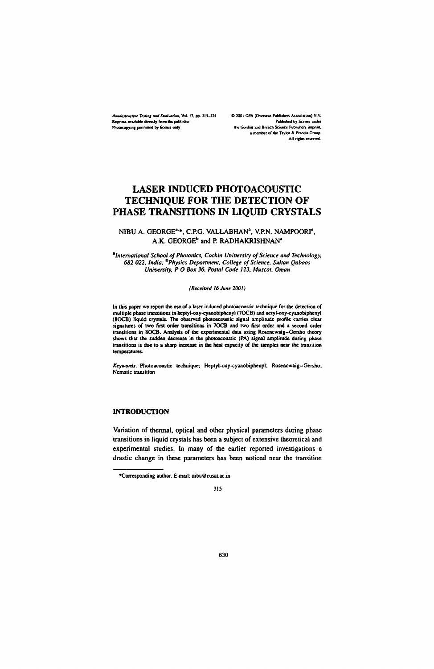Nondestructive Testing and Evaluation, Vol. 17, 99. 313-324<br>Reprinss available directly from the publisher Photocopying permitted by ficense only

0 2001 OPA (Overseas Publishers Association) N.V. Published by license under the Gordon and Breach Science Publishers imprint, a member of the Taylor & Francis Group. All rights reserved.

# **LASER INDUCED PHOTOACOUSTIC** TECHNIQUE FOR THE DETECTION OF PHASE TRANSITIONS IN LIQUID CRYSTALS

## NIBU A. GEORGE<sup>4,\*</sup>, C.P.G. VALLABHAN<sup>2</sup>, V.P.N. NAMPOORI<sup>2</sup>, A.K. GEORGE<sup>b</sup> and P. RADHAKRISHNAN<sup>a</sup>

<sup>a</sup>International School of Photonics, Cochin University of Science and Technology.<br>682 022, India; <sup>b</sup>Physics Department, College of Science. Sultan Qaboos University, P O Box 36, Postal Code 123, Muscat, Oman

#### (Received 16 June 2001)

In this paper we report the use of a laser induced photoacoustic technique for the detection of multiple phase transitions in heptyl-oxy-cyanobiphenyl (7OCB) and octyl-oxy-cyanobiphenyl (8OCB) liquid crystals. The observed photoacoustic signal amplitude profile carries clear signatures of two first order transitions in 7OCB and two first order and a second order transitions in 8OCB. Analysis of the experimental data using Rosencwaig-Gersho theory shows that the sudden decrease in the photoacoustic (PA) signal amplitude during phase transitions is due to a sharp increase in the heat capacity of the samples near the transition temperatures.

Keywords: Photoacoustic technique; Heptyl-oxy-cyanobiphenyl; Rosencwaig-Gersho; Nematic transition

## **INTRODUCTION**

Variation of thermal, optical and other physical parameters during phase transitions in liquid crystals has been a subject of extensive theoretical and experimental studies. In many of the earlier reported investigations a drastic change in these parameters has been noticed near the transition

<sup>\*</sup>Corresponding author. E-mail: nibu@cusat.ac.in

<sup>315</sup>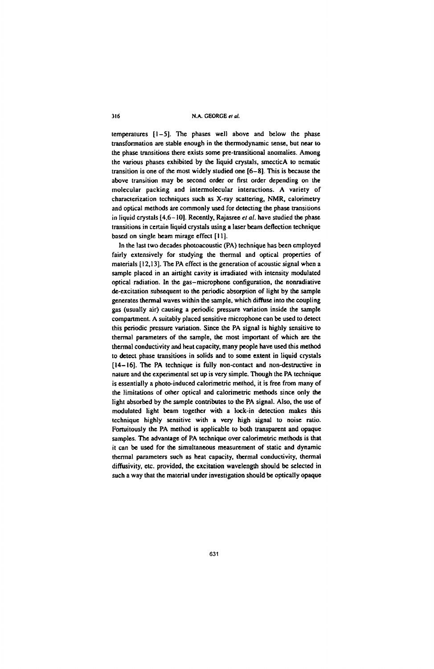temperatures  $[1-5]$ . The phases well above and below the phase transformation are stable enough in the thermodynamic sense, but near 10 the phase transitions there exists some pre-transitional anomalies. Among the various phases exhibited by the liquid crystals, smecticA to nematic transition is one of the most widely studied one [6-8). This is because the above transition may be second order or first order depending on the molecular packing and intermolecular interactions. A variety of characterization techniques such as X-ray scattering, NMR, calorimetry and optical methods are commonly used for detecting the phase transitions in liquid crystals [4,6-10]. Recently, Rajasree et al. have studied the phase transitions in certain liquid crystals using a laser beam deflection technique based on single beam mirage effect [11].

In the last two decades photoacoustic (PA) technique has been employed fairly extensively for studying the thermal and optical properties of materials [12,13]. The PA effect is the generation of acoustic signal when a sample placed in an airtight cavity is irradiated with intensity modulated optical radiation. In the gas-microphone configuration. the nonradiative de-excitation subsequent to the periodic absorption of light by the sample generates thermal waves within the sample, which diffuse into the coupling gas (usually air) causing a periodic pressure variation inside the sample compartment. A suitably placed sensitive microphone can be used to detect this periodic pressure variation. Since the PA signal is highly sensitive to thermal parameters of the sample, the most important of which are the thennal conductivity and heat capacity, many people have used this method to detect phase transitions in solids and to some extent in liquid crystals [14-16]. The PA technique is fully non-contact and non-destructive in nature and the experimental set up is very simple. Though the PA technique is essentially a photo-induced calorimetric method, it is free from many of the limitations of other optical and calorimetric methods since only the light absorbed by the sample contributes to the PA signal. Also, the use of modulated light beam together with a lock-in detection makes this technique highly sensitive with a very high signal to noise ratio. Fortuitously the PA method is applicable to both transparent and opaque samples. The advantage of PA technique over calorimetric methods is that it can be used for the simultaneous measurement of static and dynamic thermal parameters such as heat capacity. thermal conductivity, thermal diffusivity, etc. provided. the excitation wavelength should be selected in such a way that the material under investigation should be optically opaque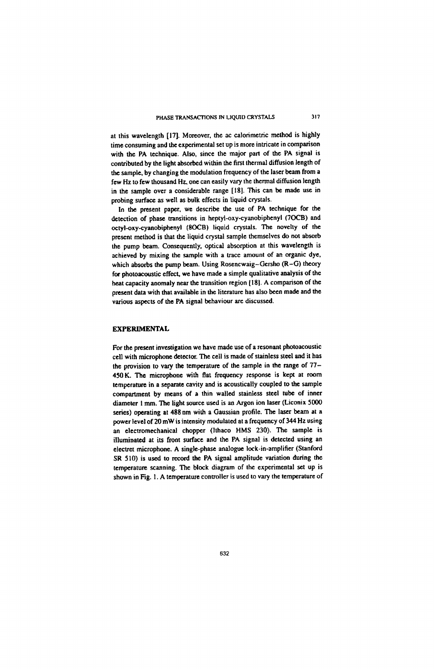at this wavelength [17]. Moreover, the ac calorimetric method is highly time consuming and the experimental set up is more intricate in comparison with the PA technique. Also, since the major part of the PA signal is contributed by the light absorbed within the first thermal diffusion length of the sample, by changing the modulation frequency of the laser beam from a few Hz to few thousand Hz. one can easily vary the thermal diffusion length in the sample over a considerable range [18]. This can be made use in probing surface as well as bulk effects in liquid crystals.

In the present paper, we describe the use of PA technique for the detection of phase transitions in heptyl-oxy-cyanobiphenyl (7OCB) and octyJ-oxy-cyanobiphenyl (8OCB) liquid crystals. The novelty of the present method is that the liquid crystal sample themselves do not absorb the pump beam. Consequently, optical absorption at this wavelength is achieved by mixing the sample with a trace amount of an organic dye, which absorbs the pump beam. Using Rosencwaig-Gersho (R-G) theory for photoacoustic effect, we have made a simple qualitative analysis of the heat capacity anomaly near the transition region {181. A comparison of the present data with that available in the literature has also been made and the various aspects of the PA signal behaviour are discussed.

### EXPERIMENTAL

For the present investigation we have made use of a resonant photoacoustic cell with microphone detector. The cell is made of stainless steel and it has the provision to vary the temperature of the sample in the range of  $77-$ 450 K. The microphone with flat frequency response is kept at room temperature in a separate cavity and is acoustically coupled to the sample compartment by means of a thin walled stainless steel tube of inner diameter I mm. The light source used is an Argon ion laser (Liconix 5000 series) operating at 488 om with a Gaussian profile. The laser beam at a power level of 20 mW is intensity modulated at a frequency of 344 Hz using an electromechanical chopper (Ithaco HMS 230). The sample is illuminated at its front surface and the PA signal is detected using an electret microphone. A single-phase analogue lock-in-amplifier (Stanford SR 510) is used to record the PA signal amplitude variation during the temperature scanning. The block diagram of the experimental set up is shown in Fig. 1. A temperature controller is used to vary the temperature of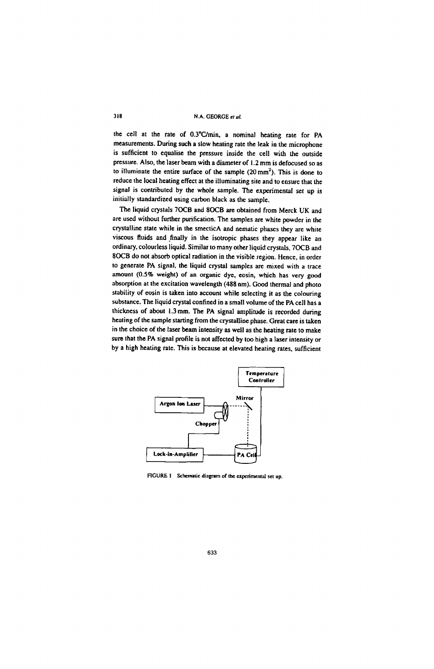the cell at the rate of 0.3°C/min, a nominal heating rate for PA measurements. During such a slow heating rate the leak in the microphone is sufficient to equalise the pressure inside the cell with the outside pressure. Also, the laser beam with a diameter of 1.2 mm is defocused so as to illuminate the entire surface of the sample  $(20 \text{ mm}^2)$ . This is done to reduce the local heating effect at the illuminating site and to ensure that the signal is contributed by the whole sample. The experimental set up is initially standardized using carbon black as the sample.

The liquid crystals 70CB and SOCB are obtained from Merck UK and are used without further purification. The samples are white powder in the crystalline state while in the smeclicA and nematic phases they are white viscous fluids and ,finally in the isotropic phases they appear like an ordinary, colourless liquid. Similar to many other liquid crystals, 70CB and SOCB do not absorb optical radiation in the visible region. Hence, in order to generate PA signal. the liquid crystal samples are mixed with a trace amount (0.5% weight) of an organic dye, eosin, which has very good absorption at the excitation wavelength (488 nm). Good thermal and photo stability of eosin is taken into account while selecting it as the colouring substance. The liquid crystal confined in a small volume of the PA cell has a thickness of about 1.3 mm. The PA signal amplitude is recorded during heating of the sample starting from the crystalline phase. Great care is taken in the choice of the laser beam intensity as well as the heating rate to make sure that the PA signal profile is not affected by too high a laser intensity or by a high heating rate. This is because at elevated heating rates. sufficient



FIGURE 1 Schematic diagram of the experimental set up.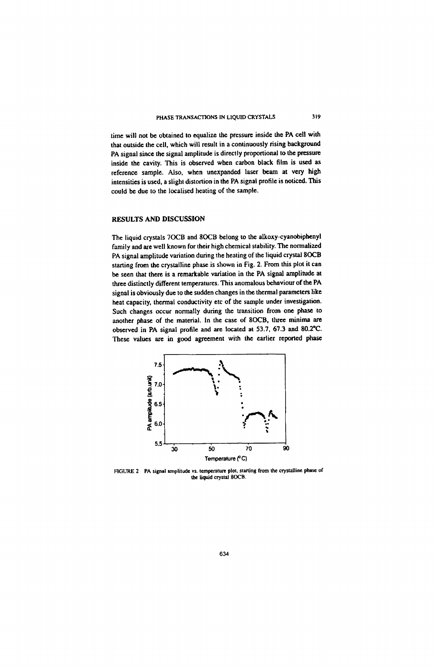time will not be obtained to equalize the pressure inside the PA cell with that outside the cell, which will result in a continuously rising background PA signal since the signal amplitude is directly proportional to the pressure inside the cavity. This is observed when carbon black film is used as reference sample. Also. when unexpanded laser beam at very high intensities is used, a slight distortion in the PA signal profile is noticed. This could be due to the localised heating of the sample.

#### RESULTS AND DISCUSSION

The liquid crystals 70CB and 80CB belong to the alkoxy-cyanobiphenyl family and are well known for their high chemical stability. The normalized PA signal amplitude variation during the heating of the liquid crystal 80CB starting from the crystalline phase is shown in Fig. 2. From this plot it can be seen that there is a remarkable variation in the PA signal amplitude at three distinctly different temperatures. This anomalous behaviour of the PA signal is obviously due to the sudden changes in the thermal parameters like heat capacity, thermal conductivity etc of the sample under investigation. Such changes occur normally during the transition from one phase to another phase of the material. In the case of BOCB, three minima are observed in PA signal profile and are located at 53.7, 67.3 and 80.2°C. These values are in good agreement with the earlier reported phase



FIGURE 2 PA signal amplitude vs. temperature plot, starting from the crystalline phase of the liquid crystal SOCB.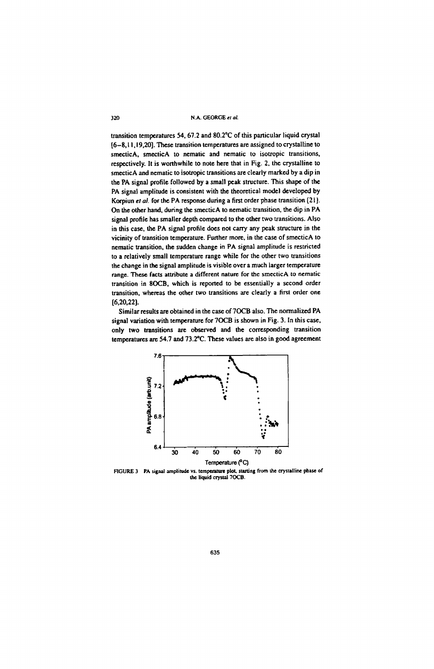320

transition temperatures 54, 67.2 and 80.2°C of this particular liquid crystal [6-8,11,19,20]. These transition temperatures are assigned to crystalline to smecticA, smecticA to nematic and nematic to isotropic transitions, respectively. It is worthwhile to note here that in Fig. 2, the crystalline to smecticA and nematic to isotropic transitions are clearly marked by a dip in the PA signal profile followed by a small peak structure. This shape of the PA signal amplitude is consistent with the theoretical model developed by Korpiun et al. for the PA response during a first order phase transition [21]. On the other hand, during the smecticA to nematic transition, the dip in PA signal profile has smaller depth compared to the other two transitions. Also in this case, the PA signal profile does not carry any peak structure in the vicinity of transition temperature. Further more, in the case of smecticA to nematic transition, the sudden change in PA signal amplitude is restricted to a relatively small temperature range while for the other two transitions the change in the signal amplitude is visible over a much larger temperature range. These facts attribute a different nature for the smecticA to nematic transition in 8OCB, which is reported to be essentially a second order transition, whereas the other two transitions are clearly a first order one  $[6, 20, 22]$ .

Similar results are obtained in the case of 7OCB also. The normalized PA signal variation with temperature for 7OCB is shown in Fig. 3. In this case, only two transitions are observed and the corresponding transition temperatures are 54.7 and 73.2°C. These values are also in good agreement



FIGURE 3 PA signal amplitude vs. temperature plot, starting from the crystalline phase of the liquid crystal 7OCB.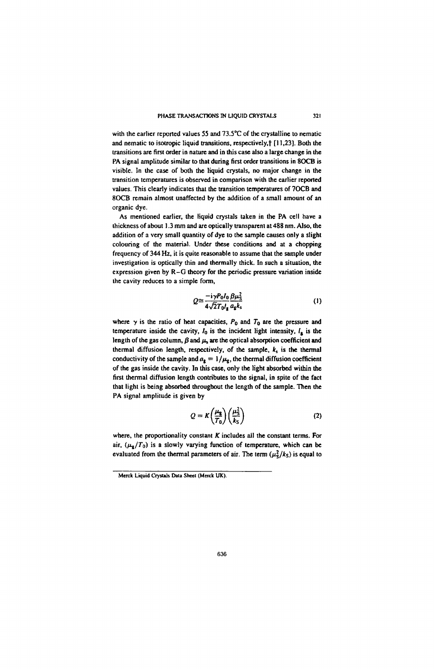with the earlier reported values 55 and 73.5°C of the crystalline to nematic and nematic to isotropic liquid transitions, respectively, $\uparrow$  [11,23]. Both the transitions are first order in nature and in this case also a large change in the PA signal amplitude similar to that during first order transitions in 80CB is visible. In the case of both the liquid crystals, no major change in the transition temperatures is observed in comparison with the earlier reported values. This clearly indicates that the transition temperatures of 7OCB and 8OCB remain almost unaffected by the addition of a small amount of an organic dye.

As mentioned earlier, the liquid crystals taken in the PA cell have a thickness of about 1.3 mm and are optically transparent at 488 nm. A1so. the addition of a very small quantity of dye to the sample causes only a slight colouring of the material. Under these conditions and at a chopping frequency of 344 Hz. it is quite reasonable to assume that the sample under investigation is optically thin and thermally thick. In such a situation, the expression given by R-G theory for the periodic pressure variation inside the cavity reduces to a simple form,

$$
Q \approx \frac{-i\gamma P_0 I_0}{4\sqrt{2}T_0 I_s} \frac{\beta \mu_S^2}{a_s k_s} \tag{1}
$$

where  $\gamma$  is the ratio of heat capacities,  $P_0$  and  $T_0$  are the pressure and temperature inside the cavity,  $I_0$  is the incident light intensity,  $I_n$  is the length of the gas column,  $\beta$  and  $\mu$ , are the optical absorption coefficient and thermal diffusion length. respectively, of the sample, *k.* is the thermal conductivity of the sample and  $a_k = 1/\mu_g$ , the thermal diffusion coefficient of the gas inside the cavity. In this case, only the light absorbed within the first thermal diffusion length contnbutes to the signal, in spite of the fact that light is being absorbed throughout the length of the sample. Then the PA signal amplitude is given by

$$
Q = K \left(\frac{\mu_{\mathbf{S}}}{T_0}\right) \left(\frac{\mu_{\mathbf{S}}^2}{k_{\mathbf{S}}}\right) \tag{2}
$$

where, the proportionality constant  $K$  includes all the constant terms. For air. ( $\mu_{\rm g}/T_0$ ) is a slowly varying function of temperature, which can be evaluated from the thermal parameters of air. The term  $(\mu_S^2/k_S)$  is equal to

Merck Liquid Crystals Data Sheet (Merck UK).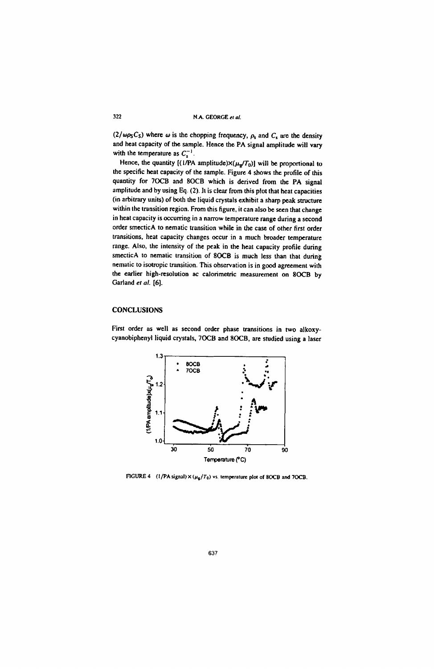$(2/w\rho_S C_S)$  where  $\omega$  is the chopping frequency,  $\rho_s$  and  $C_s$  are the density and heat capacity of the sample. Hence the PA signal amplitude will vary with the temperature as  $C_{s}^{-1}$ .

Hence, the quantity  $[(1/PA \text{ amplitude})\times(\mu_g/T_0)]$  will be proportional to the specific heat capacity of the sample. Figure 4 shows the profile of this quantity for 70CB and BOCB which is derived from the PA signal amplitude and by using Eq. (2). It is clear from this plot that heat capacities (in arbitrary units) of both the liquid crystals exhibit a sharp peak structure within the transition region. From this figure, it can also be seen that change in heat capacity is occurring in a narrow temperature range during a second order smecticA to nematic transition while in the case of other first order transitions, heat capacity changes occur in a much broader temperature range. Also, the intensity of the peak in the heat capacity profile during smecticA to nematic transition of BOCB is much less than that during nemalic to isotropic transition. This observation is in good agreement with the earlier high-resolution ac calorimetric measurement on SOCB by Garland *et al. [6].* 

# **CONCLUSIONS**

First order as well as second order phase transitions in two alkoxycyanobiphenyl liquid crystals, 7OCB and 8OCB, are studied using a laser



FIGURE 4 (1/PA signal)  $\times$   $(\mu_{\mathbf{g}}/T_0)$  vs. temperature plot of 8OCB and 7OCB.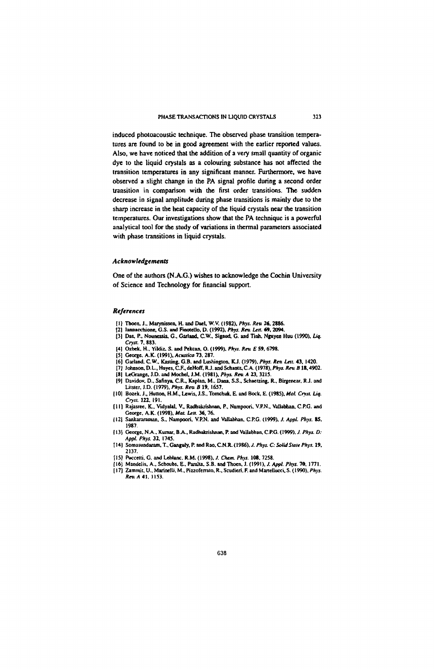induced photoacoustic technique. The observed phase transition temperatures are found to be in good agreement with the earlier reported values. Also, we have noticed that the addition of a very small quantity of organic dye to the liquid crystals as a colouring substance has not affected the transition temperatures in any significant manner. Furthermore, we have observed a slight change in the PA signal profile during a second order transition in comparison with the first order transitions. The sudden decrease in signal amplitude during phase transitions is mainly due to the sharp increase in the heat capacity of the liquid crystals near the transition temperatures. Our investigations show that the PA technique is a powerful analytical tool for the study of variations in thennal parameters associated with phase transitions in liquid crystals.

#### Acknowledgements

One of the authors (N.A.G.) wishes to acknowledge the Cochin University of Science and Technology for financial support.

### References

- [1] Thocn. J., Marynissen, H. and Dael, W.V. (1982), *Phys. Reu.* 26, 2886.
- 121 J3IUlacchione, G.S. and F'HIOIello, D. (1992), *Phys. RetJ. Letl.* 69, 2094.
- (3) Das, P.. Nounessis, G., Gartaad, C.W., Sipud, G. and Tioll. Nguyen Huu (1990). Uq. *CrySl.* 7. 883.
- 14] Ozbek. H., Yildiz. S. and Pekcan. O. (1999). *Phys. Reu. E* 59, 6798.
- [5] George. A.K. (1991), Acustica 73. 287.
- 16] Garland. C. W., Kasting. G.B. and Lushington, K.J. (1979). Phys. Reu Lett. 43, 1420.
- [7] Johnson, D.L., Hayes, C.F., deHoff, R.J. and Schantz, C.A. (1978), *Phys. Reu. B* 18, 4902.
- [8] LeGrange, J.D. and Mochel, J.M. (1981), *Phys. Rev. A* 23, 3215. (9) Davidov, D., Safinya, C.R., Kaplan, M., Dana, S.S., Schaetzing, R., Birgenear, R.J. and Ulster. 1.0. (1979), *Phys. Rea B* 19, 16S1.
- [10] Bozek. J., Hutton, H.M., Lewis, J.S., Tomchuk, E. and Bock, E. (1985), Mol. Cryst. Liq. *Crys!.* J21. 191.
- (11) Rajasree, K., Vidyalal, V., Radhakrishnan, P., Nampoori, V.P.N., Vallabhan, C.P.G. and George. A.K. (1998), Mat. Lett. 36, 76.
- (12) Sankararaman, S., Nampoori, V.P.N. and Vallabhan, C.P.G. (1999), *J. Appl. Phys.* 85, 1981.
- 113) George. N.A .• Xumat. B.A., Radhakrishnan. P. and Vallabban. C.P.G. (1999). J. *Phys.* D: Appl. Phys. 32, 1745.
- 114) Somasundaram, T., Ganguly, P. and Ruo, C.N.R. (1986), J. Phys. C: Solid State Phys. 19, 2137.
- 1151 I'IIccclli. G. and leblanc. R.M. (1998). *I. Chem. Phys.* 108.7258.
- [l6J Mamlelis. A .• Schoubs. E.. Pasalta. S.B. and Thoen. J. (1991), *I. Appl. Phys.* 70. *1nl.*  (17J Zammil, U .. Marinelli. M .• PizzofelT8\o, R .• Scudleri. f. and Manellucci. S. (1990). *Phys. Rev. A* 41, 1153.